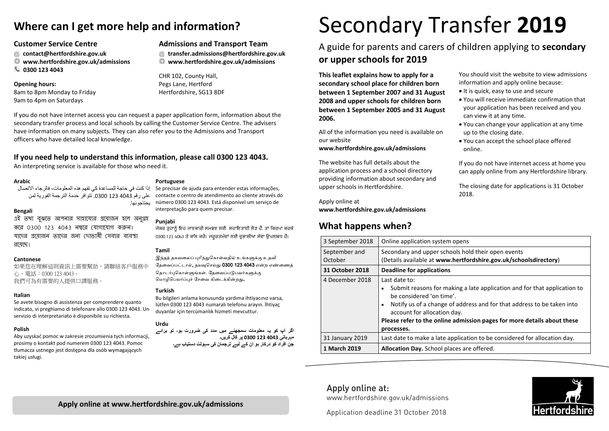# **Where can I get more help and information?**

## **Customer Service Centre**

- @ **contact@hertfordshire.gov.uk**
- **www.hertfordshire.gov.uk/admissions**
- $\mathcal{L}$ **0300 123 4043**

## **Opening hours:**

8am to 8pm Monday to Friday 9am to 4pm on Saturdays

**Admissions and Transport Team** 

- @ **transfer.admissions@hertfordshire.gov.uk**
- **www.hertfordshire.gov.uk/admissions**

CHR 102, County Hall, Pegs Lane, Hertford Hertfordshire, SG13 8DF

If you do not have internet access you can request a paper application form, information about the secondary transfer process and local schools by calling the Customer Service Centre. The advisers have information on many subjects. They can also refer you to the Admissions and Transport officers who have detailed local knowledge.

## **If you need help to understand this information, please call 0300 123 4043.**

یحتاجونھا.

An interpreting service is available for those who need it.

## **Arabic**

إذا كنت في حاجة للمساعدة كي تفھم ھذه المعلومات، فالرجاء الاتصال على رقم 4043 123 .0300 تتوافر خدمة الترجمة الفوریة لمن

#### **Bengali**

এই তথ্য বঝতে আপনার সাহায্যের প্রয়োজন হলে অনগ্রহ কের 0300 123 4043 ন�ের েযাগােযাগ করন। যােদর �েয়াজন তােদর জনয্ েদাভাষী েসবার বয্ব�া রেয়েছ।

## **Cantonese**

如果您在理解這則資訊上需要幫助,請聯絡客戶服務中 心,電話:0300 123 4043。 我們可為有需要的人提供口譯服務。

## **Italian**

Se avete bisogno di assistenza per comprendere quanto indicato, vi preghiamo di telefonare allo 0300 123 4043. Un servizio di interpretariato è disponibile su richiesta.

## **Polish**

Aby uzyskać pomoc w zakresie zrozumienia tych informacji, prosimy o kontakt pod numerem 0300 123 4043. Pomoc tłumacza ustnego jest dostępna dla osób wymagających takiej usługi.

#### **Portuguese**

Se precisar de ajuda para entender estas informações, contacte o centro de atendimento ao cliente através do número 0300 123 4043. Está disponível um serviço de interpretação para quem precisar.

## **Punjabi**

ਜੇਕਰ ਤੁਹਾਨੂੰ ਇਹ ਜਾਣਕਾਰੀ ਸਮਝਣ ਲਈ ਸਹਾਇਤਾਦੀ ਲੋੜ ਹੈ, ਤਾਂ ਕਿਰਪਾ ਕਰਕੇ 0300 123 4043 ਤੇ ਕਾੱਲ ਕਰੋ। ਜਰੂਰਤਮੰਦਾਂ ਲਈ ਦੁਭਾਸ਼ੀਆ ਸੇਵਾ ਉਪਲਬਧ ਹੈ।

## **Tamil**

இந்தத் தகவலைப் புரிந்துகொள்வதில் உங்களுக்கு உதவி தேவைப்பட்டால், தயவுசெய்து 0300 123 4043 என்ற எண்ணைத் தொடர்புகொள்ளுங்கள். கேவைப்படுபவர்களுக்கு மொமிபெயர்ப்பச் சேவை கிடைக்கின்றது.

## **Turkish**

Bu bilgileri anlama konusunda yardıma ihtiyacınız varsa, lütfen 0300 123 4043 numaralı telefonu arayın. İhtiyaç duyanlar için tercümanlık hizmeti mevcuttur.

## **Urdu**

اگر آ<mark>پ کو یہ معلومات سمجھنے میں مدد کی ضرورت ہو، تو برائے</mark> **یمہربان 40431230300 پر کال کر ۔ںی جن افراد کو درکار ےیہو ان کے ل ترجمان یک سہولت دستیاب ہے۔**

# Secondary Transfer **2019**

## A guide for parents and carers of children applying to **secondary or upper schools for 2019**

**This leaflet explains how to apply for a secondary school place for children born between 1 September 2007 and 31 August 2008 and upper schools for children born between 1 September 2005 and 31 August 2006.** 

All of the information you need is available on our website

## **www.hertfordshire.gov.uk/admissions**

The website has full details about the application process and a school directory providing information about secondary and upper schools in Hertfordshire.

Apply online at **www.hertfordshire.gov.uk/admissions**

## **What happens when?**

You should visit the website to view admissions information and apply online because:

- It is quick, easy to use and secure
- You will receive immediate confirmation that your application has been received and you can view it at any time.
- You can change your application at any time up to the closing date.
- You can accept the school place offered online.

If you do not have internet access at home you can apply online from any Hertfordshire library.

The closing date for applications is 31 October 2018.

| 3 September 2018         | Online application system opens                                                                                                                                                                                                                                                                                              |
|--------------------------|------------------------------------------------------------------------------------------------------------------------------------------------------------------------------------------------------------------------------------------------------------------------------------------------------------------------------|
| September and<br>October | Secondary and upper schools hold their open events<br>(Details available at www.hertfordshire.gov.uk/schoolsdirectory)                                                                                                                                                                                                       |
| 31 October 2018          | <b>Deadline for applications</b>                                                                                                                                                                                                                                                                                             |
| 4 December 2018          | Last date to:<br>Submit reasons for making a late application and for that application to<br>be considered 'on time'.<br>Notify us of a change of address and for that address to be taken into<br>٠<br>account for allocation day.<br>Please refer to the online admission pages for more details about these<br>processes. |
| 31 January 2019          | Last date to make a late application to be considered for allocation day.                                                                                                                                                                                                                                                    |
| 1 March 2019             | Allocation Day. School places are offered.                                                                                                                                                                                                                                                                                   |

## Apply online at: www.hertfordshire.gov.uk/admissions